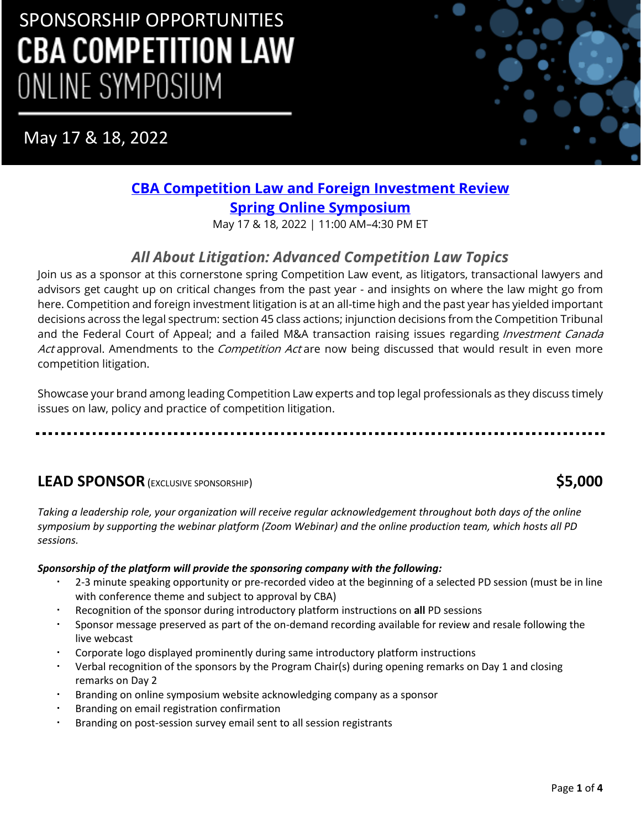May 17 & 18, 2022



# **[CBA Competition Law and Foreign Investment Review](https://www.cbapd.org/details_en.aspx?id=NA_NA22COM05A&_ga=2.244451532.810113346.1647355198-1373696361.1628181626) [Spring Online Symposium](https://www.cbapd.org/details_en.aspx?id=NA_NA22COM05A&_ga=2.244451532.810113346.1647355198-1373696361.1628181626)**

May 17 & 18, 2022 | 11:00 AM–4:30 PM ET

# *All About Litigation: Advanced Competition Law Topics*

Join us as a sponsor at this cornerstone spring Competition Law event, as litigators, transactional lawyers and advisors get caught up on critical changes from the past year - and insights on where the law might go from here. Competition and foreign investment litigation is at an all-time high and the past year has yielded important decisions across the legal spectrum: section 45 class actions; injunction decisions from the Competition Tribunal and the Federal Court of Appeal; and a failed M&A transaction raising issues regarding *Investment Canada* Act approval. Amendments to the Competition Act are now being discussed that would result in even more competition litigation.

Showcase your brand among leading Competition Law experts and top legal professionals as they discuss timely issues on law, policy and practice of competition litigation.

## **LEAD SPONSOR**(EXCLUSIVE SPONSORSHIP) **\$5,000**

*Taking a leadership role, your organization will receive regular acknowledgement throughout both days of the online symposium by supporting the webinar platform (Zoom Webinar) and the online production team, which hosts all PD sessions.*

### *Sponsorship of the platform will provide the sponsoring company with the following:*

- 2-3 minute speaking opportunity or pre-recorded video at the beginning of a selected PD session (must be in line with conference theme and subject to approval by CBA)
- Recognition of the sponsor during introductory platform instructions on **all** PD sessions
- Sponsor message preserved as part of the on-demand recording available for review and resale following the live webcast
- Corporate logo displayed prominently during same introductory platform instructions
- Verbal recognition of the sponsors by the Program Chair(s) during opening remarks on Day 1 and closing remarks on Day 2
- Branding on online symposium website acknowledging company as a sponsor
- Branding on email registration confirmation
- Branding on post-session survey email sent to all session registrants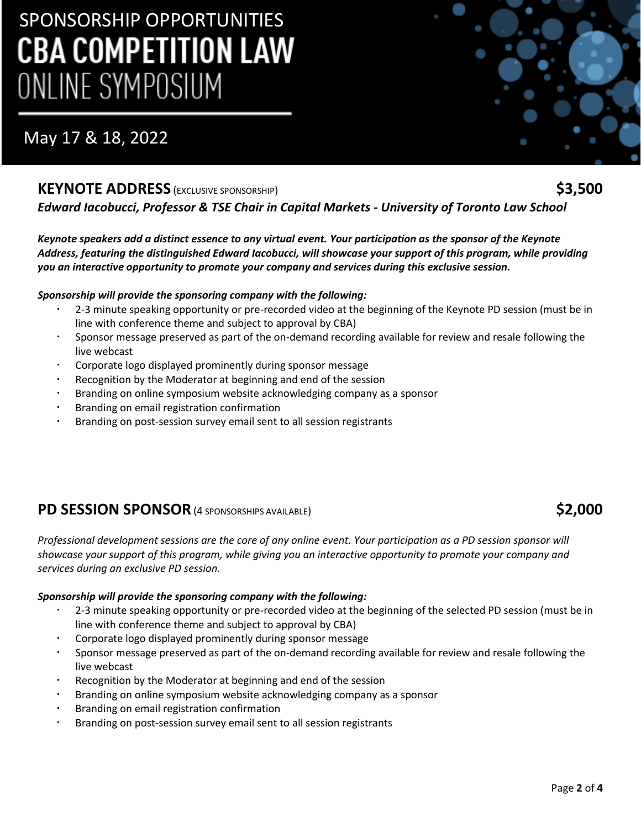# May 17 & 18, 2022

### **KEYNOTE ADDRESS** (EXCLUSIVE SPONSORSHIP) **\$3,500**

*Edward Iacobucci, Professor & TSE Chair in Capital Markets - University of Toronto Law School*

*Keynote speakers add a distinct essence to any virtual event. Your participation as the sponsor of the Keynote Address, featuring the distinguished Edward Iacobucci, will showcase your support of this program, while providing you an interactive opportunity to promote your company and services during this exclusive session.* 

#### *Sponsorship will provide the sponsoring company with the following:*

- 2-3 minute speaking opportunity or pre-recorded video at the beginning of the Keynote PD session (must be in line with conference theme and subject to approval by CBA)
- Sponsor message preserved as part of the on-demand recording available for review and resale following the live webcast
- Corporate logo displayed prominently during sponsor message
- Recognition by the Moderator at beginning and end of the session
- Branding on online symposium website acknowledging company as a sponsor
- Branding on email registration confirmation
- Branding on post-session survey email sent to all session registrants

## **PD SESSION SPONSOR**(4 SPONSORSHIPS AVAILABLE) **\$2,000**

*Professional development sessions are the core of any online event. Your participation as a PD session sponsor will showcase your support of this program, while giving you an interactive opportunity to promote your company and services during an exclusive PD session.*

#### *Sponsorship will provide the sponsoring company with the following:*

- 2-3 minute speaking opportunity or pre-recorded video at the beginning of the selected PD session (must be in line with conference theme and subject to approval by CBA)
- Corporate logo displayed prominently during sponsor message
- Sponsor message preserved as part of the on-demand recording available for review and resale following the live webcast
- Recognition by the Moderator at beginning and end of the session
- Branding on online symposium website acknowledging company as a sponsor
- Branding on email registration confirmation
- Branding on post-session survey email sent to all session registrants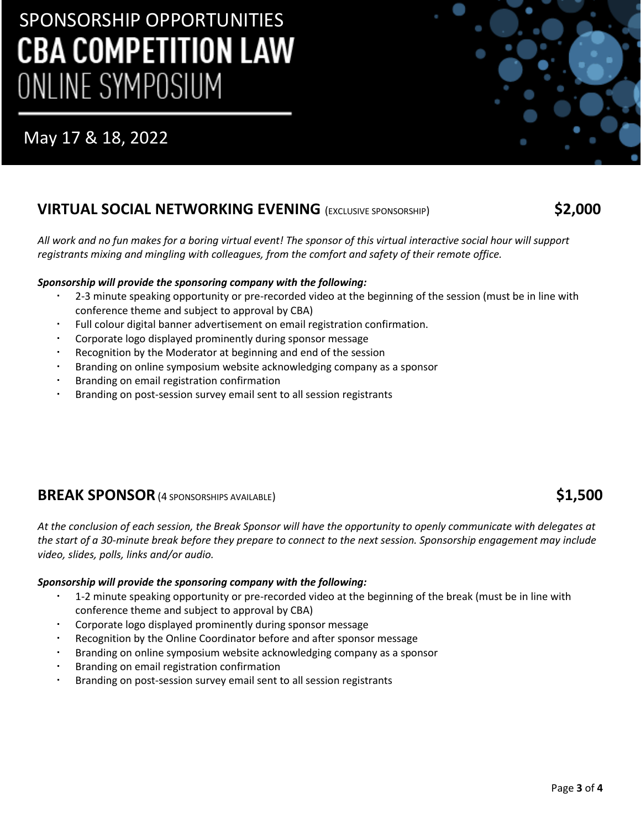# May 17 & 18, 2022

## **VIRTUAL SOCIAL NETWORKING EVENING** (EXCLUSIVE SPONSORSHIP) **\$2,000**

*All work and no fun makes for a boring virtual event! The sponsor of this virtual interactive social hour will support registrants mixing and mingling with colleagues, from the comfort and safety of their remote office.* 

#### *Sponsorship will provide the sponsoring company with the following:*

- 2-3 minute speaking opportunity or pre-recorded video at the beginning of the session (must be in line with conference theme and subject to approval by CBA)
- Full colour digital banner advertisement on email registration confirmation.
- Corporate logo displayed prominently during sponsor message
- Recognition by the Moderator at beginning and end of the session
- Branding on online symposium website acknowledging company as a sponsor
- Branding on email registration confirmation
- Branding on post-session survey email sent to all session registrants

### **BREAK SPONSOR**(4 SPONSORSHIPS AVAILABLE) **\$1,500**

*At the conclusion of each session, the Break Sponsor will have the opportunity to openly communicate with delegates at the start of a 30-minute break before they prepare to connect to the next session. Sponsorship engagement may include video, slides, polls, links and/or audio.*

#### *Sponsorship will provide the sponsoring company with the following:*

- 1-2 minute speaking opportunity or pre-recorded video at the beginning of the break (must be in line with conference theme and subject to approval by CBA)
- Corporate logo displayed prominently during sponsor message
- Recognition by the Online Coordinator before and after sponsor message
- Branding on online symposium website acknowledging company as a sponsor
- Branding on email registration confirmation
- Branding on post-session survey email sent to all session registrants